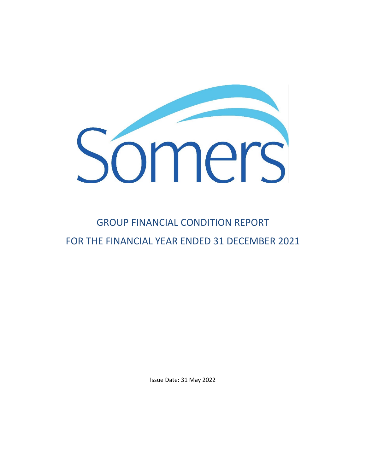

# GROUP FINANCIAL CONDITION REPORT FOR THE FINANCIAL YEAR ENDED 31 DECEMBER 2021

Issue Date: 31 May 2022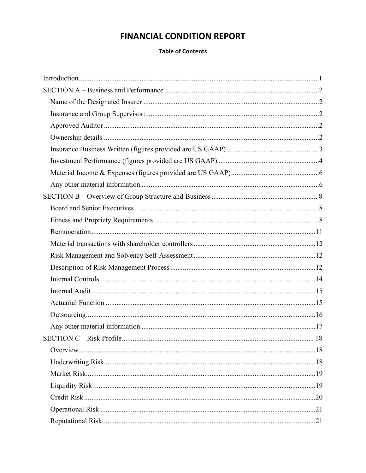# **FINANCIAL CONDITION REPORT**

# **Table of Contents**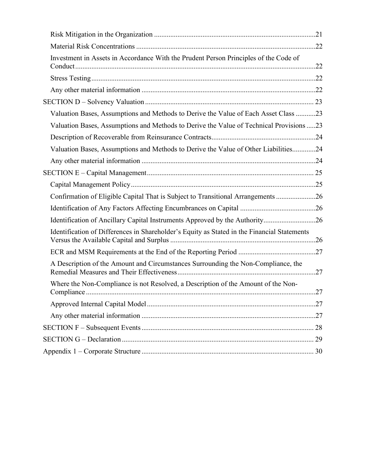| Investment in Assets in Accordance With the Prudent Person Principles of the Code of        |  |
|---------------------------------------------------------------------------------------------|--|
|                                                                                             |  |
|                                                                                             |  |
|                                                                                             |  |
| Valuation Bases, Assumptions and Methods to Derive the Value of Each Asset Class 23         |  |
| Valuation Bases, Assumptions and Methods to Derive the Value of Technical Provisions 23     |  |
|                                                                                             |  |
| Valuation Bases, Assumptions and Methods to Derive the Value of Other Liabilities24         |  |
|                                                                                             |  |
|                                                                                             |  |
|                                                                                             |  |
| Confirmation of Eligible Capital That is Subject to Transitional Arrangements 26            |  |
|                                                                                             |  |
| Identification of Ancillary Capital Instruments Approved by the Authority26                 |  |
| Identification of Differences in Shareholder's Equity as Stated in the Financial Statements |  |
|                                                                                             |  |
| A Description of the Amount and Circumstances Surrounding the Non-Compliance, the           |  |
| Where the Non-Compliance is not Resolved, a Description of the Amount of the Non-           |  |
|                                                                                             |  |
|                                                                                             |  |
|                                                                                             |  |
|                                                                                             |  |
|                                                                                             |  |
|                                                                                             |  |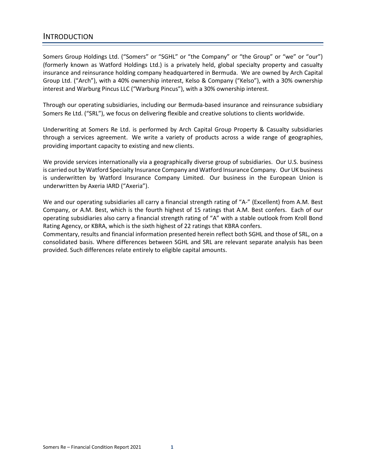# <span id="page-3-0"></span>INTRODUCTION

Somers Group Holdings Ltd. ("Somers" or "SGHL" or "the Company" or "the Group" or "we" or "our") (formerly known as Watford Holdings Ltd.) is a privately held, global specialty property and casualty insurance and reinsurance holding company headquartered in Bermuda. We are owned by Arch Capital Group Ltd. ("Arch"), with a 40% ownership interest, Kelso & Company ("Kelso"), with a 30% ownership interest and Warburg Pincus LLC ("Warburg Pincus"), with a 30% ownership interest.

Through our operating subsidiaries, including our Bermuda-based insurance and reinsurance subsidiary Somers Re Ltd. ("SRL"), we focus on delivering flexible and creative solutions to clients worldwide.

Underwriting at Somers Re Ltd. is performed by Arch Capital Group Property & Casualty subsidiaries through a services agreement. We write a variety of products across a wide range of geographies, providing important capacity to existing and new clients.

We provide services internationally via a geographically diverse group of subsidiaries. Our U.S. business is carried out by Watford Specialty Insurance Company and Watford Insurance Company. Our UK business is underwritten by Watford Insurance Company Limited. Our business in the European Union is underwritten by Axeria IARD ("Axeria").

We and our operating subsidiaries all carry a financial strength rating of "A-" (Excellent) from A.M. Best Company, or A.M. Best, which is the fourth highest of 15 ratings that A.M. Best confers. Each of our operating subsidiaries also carry a financial strength rating of "A" with a stable outlook from Kroll Bond Rating Agency, or KBRA, which is the sixth highest of 22 ratings that KBRA confers.

Commentary, results and financial information presented herein reflect both SGHL and those of SRL, on a consolidated basis. Where differences between SGHL and SRL are relevant separate analysis has been provided. Such differences relate entirely to eligible capital amounts.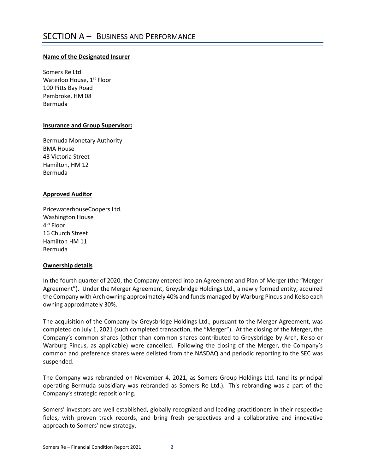# <span id="page-4-1"></span><span id="page-4-0"></span>**Name of the Designated Insurer**

Somers Re Ltd. Waterloo House, 1<sup>st</sup> Floor 100 Pitts Bay Road Pembroke, HM 08 Bermuda

# <span id="page-4-2"></span>**Insurance and Group Supervisor:**

Bermuda Monetary Authority BMA House 43 Victoria Street Hamilton, HM 12 Bermuda

# <span id="page-4-3"></span>**Approved Auditor**

PricewaterhouseCoopers Ltd. Washington House 4th Floor 16 Church Street Hamilton HM 11 Bermuda

# <span id="page-4-4"></span>**Ownership details**

In the fourth quarter of 2020, the Company entered into an Agreement and Plan of Merger (the "Merger Agreement"). Under the Merger Agreement, Greysbridge Holdings Ltd., a newly formed entity, acquired the Company with Arch owning approximately 40% and funds managed by Warburg Pincus and Kelso each owning approximately 30%.

The acquisition of the Company by Greysbridge Holdings Ltd., pursuant to the Merger Agreement, was completed on July 1, 2021 (such completed transaction, the "Merger"). At the closing of the Merger, the Company's common shares (other than common shares contributed to Greysbridge by Arch, Kelso or Warburg Pincus, as applicable) were cancelled. Following the closing of the Merger, the Company's common and preference shares were delisted from the NASDAQ and periodic reporting to the SEC was suspended.

The Company was rebranded on November 4, 2021, as Somers Group Holdings Ltd. (and its principal operating Bermuda subsidiary was rebranded as Somers Re Ltd.). This rebranding was a part of the Company's strategic repositioning.

Somers' investors are well established, globally recognized and leading practitioners in their respective fields, with proven track records, and bring fresh perspectives and a collaborative and innovative approach to Somers' new strategy.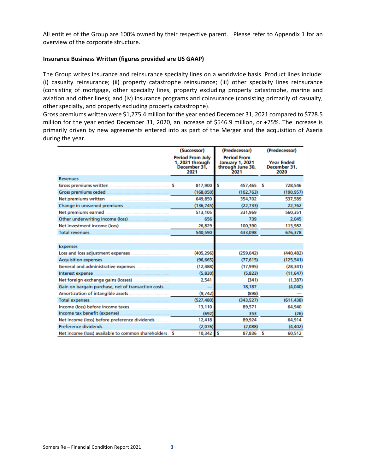All entities of the Group are 100% owned by their respective parent. Please refer to Appendix 1 for an overview of the corporate structure.

#### <span id="page-5-0"></span>**Insurance Business Written (figures provided are US GAAP)**

The Group writes insurance and reinsurance specialty lines on a worldwide basis. Product lines include: (i) casualty reinsurance; (ii) property catastrophe reinsurance; (iii) other specialty lines reinsurance (consisting of mortgage, other specialty lines, property excluding property catastrophe, marine and aviation and other lines); and (iv) insurance programs and coinsurance (consisting primarily of casualty, other specialty, and property excluding property catastrophe).

Gross premiums written were \$1,275.4 million for the year ended December 31, 2021 compared to \$728.5 million for the year ended December 31, 2020, an increase of \$546.9 million, or +75%. The increase is primarily driven by new agreements entered into as part of the Merger and the acquisition of Axeria during the year.

|                                                        |                                                                    | (Successor) | (Predecessor)                                                            |   | (Predecessor)                             |
|--------------------------------------------------------|--------------------------------------------------------------------|-------------|--------------------------------------------------------------------------|---|-------------------------------------------|
|                                                        | <b>Period From July</b><br>1, 2021 through<br>December 31,<br>2021 |             | <b>Period From</b><br><b>January 1, 2021</b><br>through June 30,<br>2021 |   | <b>Year Ended</b><br>December 31.<br>2020 |
| <b>Revenues</b>                                        |                                                                    |             |                                                                          |   |                                           |
| <b>Gross premiums written</b>                          | s                                                                  | 817,900     | s<br>457,465 \$                                                          |   | 728,546                                   |
| Gross premiums ceded                                   |                                                                    | (168, 050)  | (102, 763)                                                               |   | (190, 957)                                |
| Net premiums written                                   |                                                                    | 649,850     | 354,702                                                                  |   | 537,589                                   |
| Change in unearned premiums                            |                                                                    | (136, 745)  | (22, 733)                                                                |   | 22,762                                    |
| Net premiums earned                                    |                                                                    | 513,105     | 331,969                                                                  |   | 560,351                                   |
| Other underwriting income (loss)                       |                                                                    | 656         | 739                                                                      |   | 2,045                                     |
| Net investment income (loss)                           |                                                                    | 26,829      | 100,390                                                                  |   | 113,982                                   |
| <b>Total revenues</b>                                  |                                                                    | 540,590     | 433,098                                                                  |   | 676,378                                   |
|                                                        |                                                                    |             |                                                                          |   |                                           |
| <b>Expenses</b>                                        |                                                                    |             |                                                                          |   |                                           |
| Loss and loss adjustment expenses                      |                                                                    | (405, 296)  | (259, 042)                                                               |   | (440, 482)                                |
| <b>Acquisition expenses</b>                            |                                                                    | (96, 665)   | (77, 615)                                                                |   | (125, 541)                                |
| General and administrative expenses                    |                                                                    | (12, 488)   | (17,995)                                                                 |   | (28, 341)                                 |
| Interest expense                                       |                                                                    | (5,830)     | (5,823)                                                                  |   | (11, 647)                                 |
| Net foreign exchange gains (losses).                   |                                                                    | 2,541       | (341)                                                                    |   | (1, 387)                                  |
| Gain on bargain purchase, net of transaction costs     |                                                                    |             | 18,187                                                                   |   | (4,040)                                   |
| Amortization of intangible assets                      |                                                                    | (9,742)     | (898)                                                                    |   |                                           |
| <b>Total expenses</b>                                  |                                                                    | (527, 480)  | (343,527)                                                                |   | (611, 438)                                |
| Income (loss) before income taxes                      |                                                                    | 13,110      | 89,571                                                                   |   | 64,940                                    |
| Income tax benefit (expense)                           |                                                                    | (692)       | 353                                                                      |   | (26)                                      |
| Net income (loss) before preference dividends.         |                                                                    | 12,418      | 89,924                                                                   |   | 64,914                                    |
| Preference dividends                                   |                                                                    | (2,076)     | (2,088)                                                                  |   | (4, 402)                                  |
| Net income (loss) available to common shareholders. \$ |                                                                    | 10,342      | <b>S</b><br>87,836                                                       | s | 60,512                                    |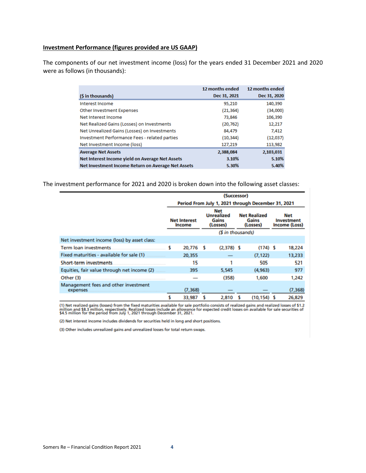## <span id="page-6-0"></span>**Investment Performance (figures provided are US GAAP)**

The components of our net investment income (loss) for the years ended 31 December 2021 and 2020 were as follows (in thousands):

|                                                    | 12 months ended | 12 months ended |
|----------------------------------------------------|-----------------|-----------------|
| (\$ in thousands)                                  | Dec 31, 2021    | Dec 31, 2020    |
| Interest Income                                    | 95,210          | 140,390         |
| Other Investment Expenses                          | (21, 364)       | (34,000)        |
| Net Interest Income                                | 73,846          | 106,390         |
| Net Realized Gains (Losses) on Investments         | (20, 762)       | 12,217          |
| Net Unrealized Gains (Losses) on Investments       | 84,479          | 7,412           |
| Investment Performance Fees - related parties      | (10, 344)       | (12,037)        |
| Net Investment Income (loss)                       | 127,219         | 113,982         |
| <b>Average Net Assets</b>                          | 2,388,084       | 2,103,031       |
| Net Interest Income yield on Average Net Assets    | 3.10%           | 5.10%           |
| Net Investment Income Return on Average Net Assets | 5.30%           | 5.40%           |

The investment performance for 2021 and 2020 is broken down into the following asset classes:

|                                                         | (Successor) |                                                    |     |                                                                           |   |                                          |  |                                           |
|---------------------------------------------------------|-------------|----------------------------------------------------|-----|---------------------------------------------------------------------------|---|------------------------------------------|--|-------------------------------------------|
|                                                         |             | Period From July 1, 2021 through December 31, 2021 |     |                                                                           |   |                                          |  |                                           |
|                                                         |             | <b>Net Interest</b><br>Income                      |     | <b>Net</b><br><b>Unrealized</b><br>Gains<br>(Losses)<br>(\$ in thousands) |   | <b>Net Realized</b><br>Gains<br>(Losses) |  | <b>Net</b><br>Investment<br>Income (Loss) |
| Net investment income (loss) by asset class:            |             |                                                    |     |                                                                           |   |                                          |  |                                           |
| Term loan investments.                                  |             | 20,776                                             | - 5 | $(2,378)$ \$                                                              |   | $(174)$ \$                               |  | 18,224                                    |
| Fixed maturities - available for sale (1)               |             | 20,355                                             |     |                                                                           |   | (7.122)                                  |  | 13,233                                    |
| <b>Short-term investments</b>                           |             | 15                                                 |     | 1                                                                         |   | 505                                      |  | 521                                       |
| Equities, fair value through net income (2)             |             | 395                                                |     | 5,545                                                                     |   | (4, 963)                                 |  | 977                                       |
| Other (3)                                               |             |                                                    |     | (358)                                                                     |   | 1,600                                    |  | 1,242                                     |
| Management fees and other investment<br><b>expenses</b> |             | (7, 368)                                           |     |                                                                           |   |                                          |  | (7, 368)                                  |
|                                                         |             | 33,987                                             |     | 2,810                                                                     | s | $(10, 154)$ \$                           |  | 26,829                                    |

(1) Net realized gains (losses) from the fixed maturities available for sale portfolio consists of realized gains and realized losses of \$1.2 million and \$8.3 million, respectively. Realized losses include an allowance fo

(2) Net interest income includes dividends for securities held in long and short positions.

(3) Other includes unrealized gains and unrealized losses for total return swaps.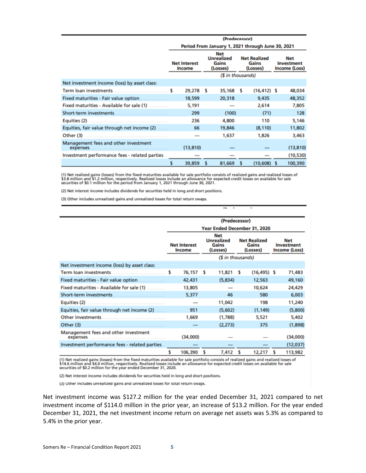|                                                  | (Predecessor)                                     |   |                                                      |                                          |                |  |                                           |
|--------------------------------------------------|---------------------------------------------------|---|------------------------------------------------------|------------------------------------------|----------------|--|-------------------------------------------|
|                                                  | Period From January 1, 2021 through June 30, 2021 |   |                                                      |                                          |                |  |                                           |
|                                                  | <b>Net Interest</b><br>Income                     |   | <b>Net</b><br><b>Unrealized</b><br>Gains<br>(Losses) | <b>Net Realized</b><br>Gains<br>(Losses) |                |  | <b>Net</b><br>Investment<br>Income (Loss) |
|                                                  |                                                   |   | (\$ in thousands)                                    |                                          |                |  |                                           |
| Net investment income (loss) by asset class:     |                                                   |   |                                                      |                                          |                |  |                                           |
| Term loan investments                            | 29,278 \$                                         |   | 35,168 \$                                            |                                          | $(16, 412)$ \$ |  | 48,034                                    |
| Fixed maturities - Fair value option.            | 18,599                                            |   | 20,318                                               |                                          | 9,435          |  | 48,352                                    |
|                                                  | 5,191                                             |   |                                                      |                                          | 2,614          |  | 7,805                                     |
| Short-term investments.                          | 299                                               |   | (100)                                                |                                          | (71)           |  | 128                                       |
| Equities (2)                                     | 236                                               |   | 4,800                                                |                                          | 110            |  | 5.146                                     |
| Equities, fair value through net income (2)      | 66                                                |   | 19,846                                               |                                          | (8, 110)       |  | 11,802                                    |
| Other (3)                                        |                                                   |   | 1,637                                                |                                          | 1,826          |  | 3,463                                     |
| Management fees and other investment<br>expenses | (13, 810)                                         |   |                                                      |                                          |                |  | (13, 810)                                 |
| Investment performance fees - related parties.   |                                                   |   |                                                      |                                          |                |  | (10, 530)                                 |
|                                                  | 39,859                                            | s | 81,669                                               | s                                        | $(10,608)$ \$  |  | 100,390                                   |

(1) Net realized gains (losses) from the fixed maturities available for sale portfolio consists of realized gains and realized losses of \$3.8 million and \$1.2 million, respectively. Realized losses include an allowance for

r.

(2) Net interest income includes dividends for securities held in long and short positions.

(3) Other includes unrealized gains and unrealized losses for total return swaps.

|                                                  |    | (Predecessor)                        |   |                                                      |   |                                          |   |                                           |
|--------------------------------------------------|----|--------------------------------------|---|------------------------------------------------------|---|------------------------------------------|---|-------------------------------------------|
|                                                  |    | Year Ended December 31, 2020         |   |                                                      |   |                                          |   |                                           |
|                                                  |    | <b>Net Interest</b><br><b>Income</b> |   | <b>Net</b><br><b>Unrealized</b><br>Gains<br>(Losses) |   | <b>Net Realized</b><br>Gains<br>(Losses) |   | <b>Net</b><br>Investment<br>Income (Loss) |
|                                                  |    |                                      |   | (\$ in thousands)                                    |   |                                          |   |                                           |
| Net investment income (loss) by asset class:     |    |                                      |   |                                                      |   |                                          |   |                                           |
| Term loan investments.                           | s  | 76,157                               | s | 11,821                                               | s | $(16, 495)$ \$                           |   | 71,483                                    |
| Fixed maturities - Fair value option             |    | 42,431                               |   | (5,834)                                              |   | 12,563                                   |   | 49,160                                    |
|                                                  |    | 13,805                               |   |                                                      |   | 10,624                                   |   | 24,429                                    |
| Short-term investments                           |    | 5,377                                |   | 46                                                   |   | 580                                      |   | 6,003                                     |
|                                                  |    |                                      |   | 11,042                                               |   | 198                                      |   | 11,240                                    |
| Equities, fair value through net income (2)      |    | 951                                  |   | (5,602)                                              |   | (1, 149)                                 |   | (5,800)                                   |
| <b>Other investments</b>                         |    | 1,669                                |   | (1,788)                                              |   | 5,521                                    |   | 5,402                                     |
| Other (3)                                        |    |                                      |   | (2,273)                                              |   | 375                                      |   | (1,898)                                   |
| Management fees and other investment<br>expenses |    | (34,000)                             |   |                                                      |   |                                          |   | (34,000)                                  |
| Investment performance fees - related parties.   |    |                                      |   |                                                      |   |                                          |   | (12,037)                                  |
|                                                  | \$ | 106,390                              | s | 7,412                                                | s | 12,217                                   | s | 113,982                                   |

(1) Net realized gains (losses) from the fixed maturities available for sale portfolio consists of realized gains and realized losses of \$14.6 million and \$4.0 million, respectively. Realized losses include an allowance fo

(2) Net interest income includes dividends for securities held in long and short positions.

(3) Other includes unrealized gains and unrealized losses for total return swaps.

Net investment income was \$127.2 million for the year ended December 31, 2021 compared to net investment income of \$114.0 million in the prior year, an increase of \$13.2 million. For the year ended December 31, 2021, the net investment income return on average net assets was 5.3% as compared to 5.4% in the prior year.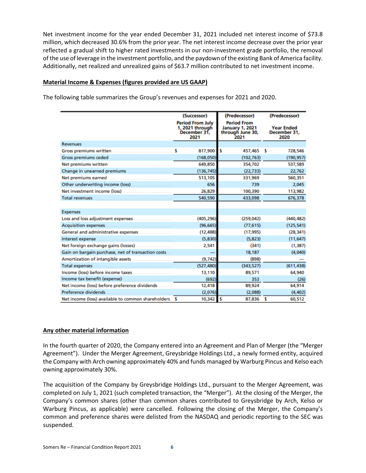Net investment income for the year ended December 31, 2021 included net interest income of \$73.8 million, which decreased 30.6% from the prior year. The net interest income decrease over the prior year reflected a gradual shift to higher rated investments in our non-investment grade portfolio, the removal of the use of leverage in the investment portfolio, and the paydown of the existing Bank of America facility. Additionally, net realized and unrealized gains of \$63.7 million contributed to net investment income.

# <span id="page-8-0"></span>**Material Income & Expenses (figures provided are US GAAP)**

The following table summarizes the Group's revenues and expenses for 2021 and 2020.

|                                                        | (Successor)                                                        | (Predecessor)                                                            | (Predecessor)                             |
|--------------------------------------------------------|--------------------------------------------------------------------|--------------------------------------------------------------------------|-------------------------------------------|
|                                                        | <b>Period From July</b><br>1, 2021 through<br>December 31.<br>2021 | <b>Period From</b><br><b>January 1, 2021</b><br>through June 30,<br>2021 | <b>Year Ended</b><br>December 31.<br>2020 |
| <b>Revenues</b>                                        |                                                                    |                                                                          |                                           |
| <b>Gross premiums written</b>                          | \$<br>817,900                                                      | s<br>457,465 \$                                                          | 728,546                                   |
| <b>Gross premiums ceded</b>                            | (168,050)                                                          | (102, 763)                                                               | (190, 957)                                |
| Net premiums written                                   | 649,850                                                            | 354,702                                                                  | 537,589                                   |
| Change in unearned premiums                            | (136, 745)                                                         | (22, 733)                                                                | 22,762                                    |
| Net premiums earned                                    | 513,105                                                            | 331,969                                                                  | 560,351                                   |
| Other underwriting income (loss).                      | 656                                                                | 739                                                                      | 2,045                                     |
| Net investment income (loss)                           | 26,829                                                             | 100,390                                                                  | 113,982                                   |
| <b>Total revenues</b>                                  | 540,590                                                            | 433,098                                                                  | 676,378                                   |
|                                                        |                                                                    |                                                                          |                                           |
| <b>Expenses</b>                                        |                                                                    |                                                                          |                                           |
| Loss and loss adjustment expenses                      | (405, 296)                                                         | (259, 042)                                                               | (440, 482)                                |
| <b>Acquisition expenses</b>                            | (96, 665)                                                          | (77.615)                                                                 | (125, 541)                                |
| <b>General and administrative expenses</b>             | (12, 488)                                                          | (17,995)                                                                 | (28, 341)                                 |
| Interest expense                                       | (5,830)                                                            | (5, 823)                                                                 | (11, 647)                                 |
| Net foreign exchange gains (losses).                   | 2,541                                                              | (341)                                                                    | (1, 387)                                  |
| Gain on bargain purchase, net of transaction costs     |                                                                    | 18,187                                                                   | (4,040)                                   |
| <b>Amortization of intangible assets</b>               | (9,742)                                                            | (898)                                                                    |                                           |
| <b>Total expenses</b>                                  | (527, 480)                                                         | (343,527)                                                                | (611, 438)                                |
| Income (loss) before income taxes.                     | 13,110                                                             | 89,571                                                                   | 64,940                                    |
| Income tax benefit (expense)                           | (692)                                                              | 353                                                                      | (26)                                      |
| Net income (loss) before preference dividends.         | 12,418                                                             | 89,924                                                                   | 64,914                                    |
| Preference dividends                                   | (2,076)                                                            | (2.088)                                                                  | (4, 402)                                  |
| Net income (loss) available to common shareholders. \$ | 10,342                                                             | ı\$<br>87,836 \$                                                         | 60,512                                    |

#### <span id="page-8-1"></span>**Any other material information**

In the fourth quarter of 2020, the Company entered into an Agreement and Plan of Merger (the "Merger Agreement"). Under the Merger Agreement, Greysbridge Holdings Ltd., a newly formed entity, acquired the Company with Arch owning approximately 40% and funds managed by Warburg Pincus and Kelso each owning approximately 30%.

The acquisition of the Company by Greysbridge Holdings Ltd., pursuant to the Merger Agreement, was completed on July 1, 2021 (such completed transaction, the "Merger"). At the closing of the Merger, the Company's common shares (other than common shares contributed to Greysbridge by Arch, Kelso or Warburg Pincus, as applicable) were cancelled. Following the closing of the Merger, the Company's common and preference shares were delisted from the NASDAQ and periodic reporting to the SEC was suspended.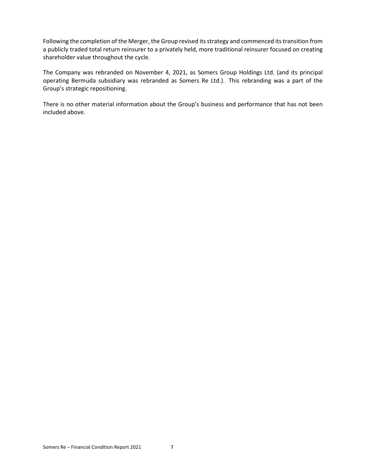Following the completion of the Merger, the Group revised its strategy and commenced its transition from a publicly traded total return reinsurer to a privately held, more traditional reinsurer focused on creating shareholder value throughout the cycle.

The Company was rebranded on November 4, 2021, as Somers Group Holdings Ltd. (and its principal operating Bermuda subsidiary was rebranded as Somers Re Ltd.). This rebranding was a part of the Group's strategic repositioning.

There is no other material information about the Group's business and performance that has not been included above.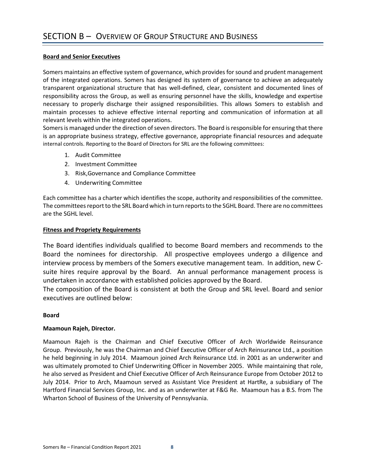# <span id="page-10-1"></span><span id="page-10-0"></span>**Board and Senior Executives**

Somers maintains an effective system of governance, which provides for sound and prudent management of the integrated operations. Somers has designed its system of governance to achieve an adequately transparent organizational structure that has well-defined, clear, consistent and documented lines of responsibility across the Group, as well as ensuring personnel have the skills, knowledge and expertise necessary to properly discharge their assigned responsibilities. This allows Somers to establish and maintain processes to achieve effective internal reporting and communication of information at all relevant levels within the integrated operations.

Somers is managed under the direction of seven directors. The Board is responsible for ensuring that there is an appropriate business strategy, effective governance, appropriate financial resources and adequate internal controls. Reporting to the Board of Directors for SRL are the following committees:

- 1. Audit Committee
- 2. Investment Committee
- 3. Risk,Governance and Compliance Committee
- 4. Underwriting Committee

Each committee has a charter which identifies the scope, authority and responsibilities of the committee. The committees report to the SRL Board which in turn reports to the SGHL Board. There are no committees are the SGHL level.

# <span id="page-10-2"></span>**Fitness and Propriety Requirements**

The Board identifies individuals qualified to become Board members and recommends to the Board the nominees for directorship. All prospective employees undergo a diligence and interview process by members of the Somers executive management team. In addition, new Csuite hires require approval by the Board. An annual performance management process is undertaken in accordance with established policies approved by the Board.

The composition of the Board is consistent at both the Group and SRL level. Board and senior executives are outlined below:

# **Board**

# **Maamoun Rajeh, Director.**

Maamoun Rajeh is the Chairman and Chief Executive Officer of Arch Worldwide Reinsurance Group. Previously, he was the Chairman and Chief Executive Officer of Arch Reinsurance Ltd., a position he held beginning in July 2014. Maamoun joined Arch Reinsurance Ltd. in 2001 as an underwriter and was ultimately promoted to Chief Underwriting Officer in November 2005. While maintaining that role, he also served as President and Chief Executive Officer of Arch Reinsurance Europe from October 2012 to July 2014. Prior to Arch, Maamoun served as Assistant Vice President at HartRe, a subsidiary of The Hartford Financial Services Group, Inc. and as an underwriter at F&G Re. Maamoun has a B.S. from The Wharton School of Business of the University of Pennsylvania.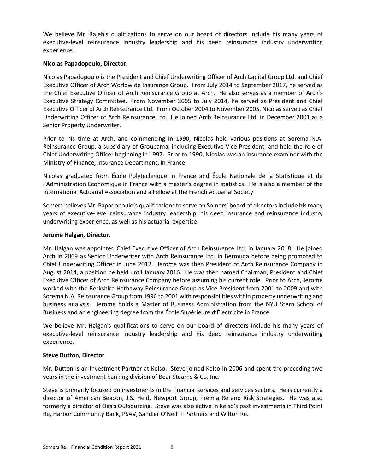We believe Mr. Rajeh's qualifications to serve on our board of directors include his many years of executive-level reinsurance industry leadership and his deep reinsurance industry underwriting experience.

# **Nicolas Papadopoulo, Director.**

Nicolas Papadopoulo is the President and Chief Underwriting Officer of Arch Capital Group Ltd. and Chief Executive Officer of Arch Worldwide Insurance Group. From July 2014 to September 2017, he served as the Chief Executive Officer of Arch Reinsurance Group at Arch. He also serves as a member of Arch's Executive Strategy Committee. From November 2005 to July 2014, he served as President and Chief Executive Officer of Arch Reinsurance Ltd. From October 2004 to November 2005, Nicolas served as Chief Underwriting Officer of Arch Reinsurance Ltd. He joined Arch Reinsurance Ltd. in December 2001 as a Senior Property Underwriter.

Prior to his time at Arch, and commencing in 1990, Nicolas held various positions at Sorema N.A. Reinsurance Group, a subsidiary of Groupama, including Executive Vice President, and held the role of Chief Underwriting Officer beginning in 1997. Prior to 1990, Nicolas was an insurance examiner with the Ministry of Finance, Insurance Department, in France.

Nicolas graduated from École Polytechnique in France and École Nationale de la Statistique et de l'Administration Economique in France with a master's degree in statistics. He is also a member of the International Actuarial Association and a Fellow at the French Actuarial Society.

Somers believes Mr. Papadopoulo's qualifications to serve on Somers' board of directors include his many years of executive-level reinsurance industry leadership, his deep insurance and reinsurance industry underwriting experience, as well as his actuarial expertise.

# **Jerome Halgan, Director.**

Mr. Halgan was appointed Chief Executive Officer of Arch Reinsurance Ltd. in January 2018. He joined Arch in 2009 as Senior Underwriter with Arch Reinsurance Ltd. in Bermuda before being promoted to Chief Underwriting Officer in June 2012. Jerome was then President of Arch Reinsurance Company in August 2014, a position he held until January 2016. He was then named Chairman, President and Chief Executive Officer of Arch Reinsurance Company before assuming his current role. Prior to Arch, Jerome worked with the Berkshire Hathaway Reinsurance Group as Vice President from 2001 to 2009 and with Sorema N.A. Reinsurance Group from 1996 to 2001 with responsibilities within property underwriting and business analysis. Jerome holds a Master of Business Administration from the NYU Stern School of Business and an engineering degree from the École Supérieure d'Électricité in France.

We believe Mr. Halgan's qualifications to serve on our board of directors include his many years of executive-level reinsurance industry leadership and his deep reinsurance industry underwriting experience.

# **Steve Dutton, Director**

Mr. Dutton is an Investment Partner at Kelso. Steve joined Kelso in 2006 and spent the preceding two years in the investment banking division of Bear Stearns & Co. Inc.

Steve is primarily focused on investments in the financial services and services sectors. He is currently a director of American Beacon, J.S. Held, Newport Group, Premia Re and Risk Strategies. He was also formerly a director of Oasis Outsourcing. Steve was also active in Kelso's past investments in Third Point Re, Harbor Community Bank, PSAV, Sandler O'Neill + Partners and Wilton Re.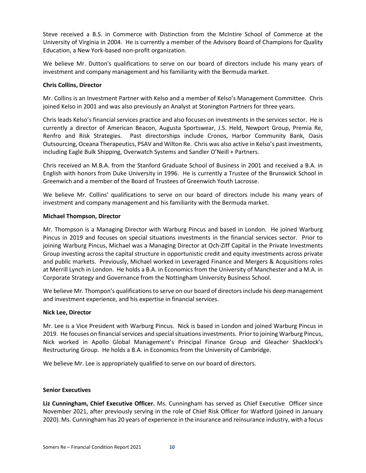Steve received a B.S. in Commerce with Distinction from the McIntire School of Commerce at the University of Virginia in 2004. He is currently a member of the Advisory Board of Champions for Quality Education, a New York-based non-profit organization.

We believe Mr. Dutton's qualifications to serve on our board of directors include his many years of investment and company management and his familiarity with the Bermuda market.

#### **Chris Collins, Director**

Mr. Collins is an Investment Partner with Kelso and a member of Kelso's Management Committee. Chris joined Kelso in 2001 and was also previously an Analyst at Stonington Partners for three years.

Chris leads Kelso's financial services practice and also focuses on investments in the services sector. He is currently a director of American Beacon, Augusta Sportswear, J.S. Held, Newport Group, Premia Re, Renfro and Risk Strategies. Past directorships include Cronos, Harbor Community Bank, Oasis Outsourcing, Oceana Therapeutics, PSAV and Wilton Re. Chris was also active in Kelso's past investments, including Eagle Bulk Shipping, Overwatch Systems and Sandler O'Neill + Partners.

Chris received an M.B.A. from the Stanford Graduate School of Business in 2001 and received a B.A. in English with honors from Duke University in 1996. He is currently a Trustee of the Brunswick School in Greenwich and a member of the Board of Trustees of Greenwich Youth Lacrosse.

We believe Mr. Collins' qualifications to serve on our board of directors include his many years of investment and company management and his familiarity with the Bermuda market.

#### **Michael Thompson, Director**

Mr. Thompson is a Managing Director with Warburg Pincus and based in London. He joined Warburg Pincus in 2019 and focuses on special situations investments in the financial services sector. Prior to joining Warburg Pincus, Michael was a Managing Director at Och-Ziff Capital in the Private Investments Group investing across the capital structure in opportunistic credit and equity investments across private and public markets. Previously, Michael worked in Leveraged Finance and Mergers & Acquisitions roles at Merrill Lynch in London. He holds a B.A. in Economics from the University of Manchester and a M.A. in Corporate Strategy and Governance from the Nottingham University Business School.

We believe Mr. Thompon's qualifications to serve on our board of directors include his deep management and investment experience, and his expertise in financial services.

#### **Nick Lee, Director**

Mr. Lee is a Vice President with Warburg Pincus. Nick is based in London and joined Warburg Pincus in 2019. He focuses on financial services and special situations investments. Prior to joining Warburg Pincus, Nick worked in Apollo Global Management's Principal Finance Group and Gleacher Shacklock's Restructuring Group. He holds a B.A. in Economics from the University of Cambridge.

We believe Mr. Lee is appropriately qualified to serve on our board of directors.

#### **Senior Executives**

**Liz Cunningham, Chief Executive Officer.** Ms. Cunningham has served as Chief Executive Officer since November 2021, after previously serving in the role of Chief Risk Officer for Watford (joined in January 2020). Ms. Cunningham has 20 years of experience in the insurance and reinsurance industry, with a focus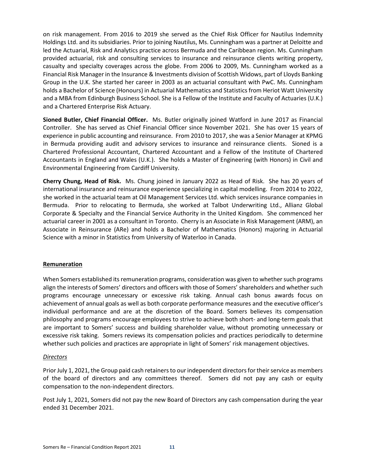on risk management. From 2016 to 2019 she served as the Chief Risk Officer for Nautilus Indemnity Holdings Ltd. and its subsidiaries. Prior to joining Nautilus, Ms. Cunningham was a partner at Deloitte and led the Actuarial, Risk and Analytics practice across Bermuda and the Caribbean region. Ms. Cunningham provided actuarial, risk and consulting services to insurance and reinsurance clients writing property, casualty and specialty coverages across the globe. From 2006 to 2009, Ms. Cunningham worked as a Financial Risk Manager in the Insurance & Investments division of Scottish Widows, part of Lloyds Banking Group in the U.K. She started her career in 2003 as an actuarial consultant with PwC. Ms. Cunningham holds a Bachelor of Science (Honours) in Actuarial Mathematics and Statistics from Heriot Watt University and a MBA from Edinburgh Business School. She is a Fellow of the Institute and Faculty of Actuaries (U.K.) and a Chartered Enterprise Risk Actuary.

**Sioned Butler, Chief Financial Officer.** Ms. Butler originally joined Watford in June 2017 as Financial Controller. She has served as Chief Financial Officer since November 2021. She has over 15 years of experience in public accounting and reinsurance. From 2010 to 2017, she was a Senior Manager at KPMG in Bermuda providing audit and advisory services to insurance and reinsurance clients. Sioned is a Chartered Professional Accountant, Chartered Accountant and a Fellow of the Institute of Chartered Accountants in England and Wales (U.K.). She holds a Master of Engineering (with Honors) in Civil and Environmental Engineering from Cardiff University.

**Cherry Chung, Head of Risk.** Ms. Chung joined in January 2022 as Head of Risk. She has 20 years of international insurance and reinsurance experience specializing in capital modelling. From 2014 to 2022, she worked in the actuarial team at Oil Management Services Ltd. which services insurance companies in Bermuda. Prior to relocating to Bermuda, she worked at Talbot Underwriting Ltd., Allianz Global Corporate & Specialty and the Financial Service Authority in the United Kingdom. She commenced her actuarial career in 2001 as a consultant in Toronto. Cherry is an Associate in Risk Management (ARM), an Associate in Reinsurance (ARe) and holds a Bachelor of Mathematics (Honors) majoring in Actuarial Science with a minor in Statistics from University of Waterloo in Canada.

# <span id="page-13-0"></span>**Remuneration**

When Somers established its remuneration programs, consideration was given to whether such programs align the interests of Somers' directors and officers with those of Somers' shareholders and whether such programs encourage unnecessary or excessive risk taking. Annual cash bonus awards focus on achievement of annual goals as well as both corporate performance measures and the executive officer's individual performance and are at the discretion of the Board. Somers believes its compensation philosophy and programs encourage employees to strive to achieve both short- and long-term goals that are important to Somers' success and building shareholder value, without promoting unnecessary or excessive risk taking. Somers reviews its compensation policies and practices periodically to determine whether such policies and practices are appropriate in light of Somers' risk management objectives.

# *Directors*

Prior July 1, 2021, the Group paid cash retainers to our independent directorsfor their service as members of the board of directors and any committees thereof. Somers did not pay any cash or equity compensation to the non-independent directors.

Post July 1, 2021, Somers did not pay the new Board of Directors any cash compensation during the year ended 31 December 2021.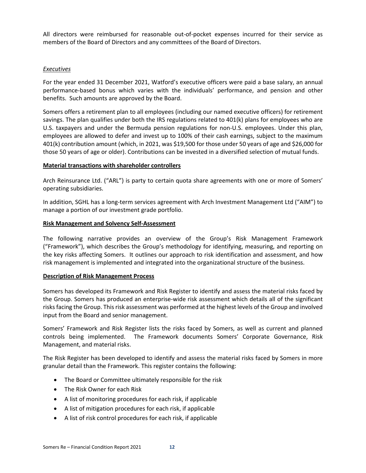All directors were reimbursed for reasonable out-of-pocket expenses incurred for their service as members of the Board of Directors and any committees of the Board of Directors.

# *Executives*

For the year ended 31 December 2021, Watford's executive officers were paid a base salary, an annual performance-based bonus which varies with the individuals' performance, and pension and other benefits. Such amounts are approved by the Board.

Somers offers a retirement plan to all employees (including our named executive officers) for retirement savings. The plan qualifies under both the IRS regulations related to 401(k) plans for employees who are U.S. taxpayers and under the Bermuda pension regulations for non-U.S. employees. Under this plan, employees are allowed to defer and invest up to 100% of their cash earnings, subject to the maximum 401(k) contribution amount (which, in 2021, was \$19,500 for those under 50 years of age and \$26,000 for those 50 years of age or older). Contributions can be invested in a diversified selection of mutual funds.

#### <span id="page-14-0"></span>**Material transactions with shareholder controllers**

Arch Reinsurance Ltd. ("ARL") is party to certain quota share agreements with one or more of Somers' operating subsidiaries.

In addition, SGHL has a long-term services agreement with Arch Investment Management Ltd ("AIM") to manage a portion of our investment grade portfolio.

#### <span id="page-14-1"></span>**Risk Management and Solvency Self-Assessment**

The following narrative provides an overview of the Group's Risk Management Framework ("Framework"), which describes the Group's methodology for identifying, measuring, and reporting on the key risks affecting Somers. It outlines our approach to risk identification and assessment, and how risk management is implemented and integrated into the organizational structure of the business.

#### <span id="page-14-2"></span>**Description of Risk Management Process**

Somers has developed its Framework and Risk Register to identify and assess the material risks faced by the Group. Somers has produced an enterprise-wide risk assessment which details all of the significant risks facing the Group. This risk assessment was performed at the highest levels of the Group and involved input from the Board and senior management.

Somers' Framework and Risk Register lists the risks faced by Somers, as well as current and planned controls being implemented. The Framework documents Somers' Corporate Governance, Risk Management, and material risks.

The Risk Register has been developed to identify and assess the material risks faced by Somers in more granular detail than the Framework. This register contains the following:

- The Board or Committee ultimately responsible for the risk
- The Risk Owner for each Risk
- A list of monitoring procedures for each risk, if applicable
- A list of mitigation procedures for each risk, if applicable
- A list of risk control procedures for each risk, if applicable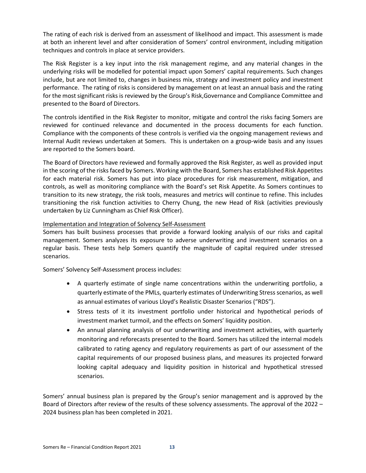The rating of each risk is derived from an assessment of likelihood and impact. This assessment is made at both an inherent level and after consideration of Somers' control environment, including mitigation techniques and controls in place at service providers.

The Risk Register is a key input into the risk management regime, and any material changes in the underlying risks will be modelled for potential impact upon Somers' capital requirements. Such changes include, but are not limited to, changes in business mix, strategy and investment policy and investment performance. The rating of risks is considered by management on at least an annual basis and the rating for the most significant risks is reviewed by the Group's Risk,Governance and Compliance Committee and presented to the Board of Directors.

The controls identified in the Risk Register to monitor, mitigate and control the risks facing Somers are reviewed for continued relevance and documented in the process documents for each function. Compliance with the components of these controls is verified via the ongoing management reviews and Internal Audit reviews undertaken at Somers. This is undertaken on a group-wide basis and any issues are reported to the Somers board.

The Board of Directors have reviewed and formally approved the Risk Register, as well as provided input in the scoring of the risks faced by Somers. Working with the Board, Somers has established Risk Appetites for each material risk. Somers has put into place procedures for risk measurement, mitigation, and controls, as well as monitoring compliance with the Board's set Risk Appetite. As Somers continues to transition to its new strategy, the risk tools, measures and metrics will continue to refine. This includes transitioning the risk function activities to Cherry Chung, the new Head of Risk (activities previously undertaken by Liz Cunningham as Chief Risk Officer).

# Implementation and Integration of Solvency Self-Assessment

Somers has built business processes that provide a forward looking analysis of our risks and capital management. Somers analyzes its exposure to adverse underwriting and investment scenarios on a regular basis. These tests help Somers quantify the magnitude of capital required under stressed scenarios.

Somers' Solvency Self-Assessment process includes:

- A quarterly estimate of single name concentrations within the underwriting portfolio, a quarterly estimate of the PMLs, quarterly estimates of Underwriting Stress scenarios, as well as annual estimates of various Lloyd's Realistic Disaster Scenarios ("RDS").
- Stress tests of it its investment portfolio under historical and hypothetical periods of investment market turmoil, and the effects on Somers' liquidity position.
- An annual planning analysis of our underwriting and investment activities, with quarterly monitoring and reforecasts presented to the Board. Somers has utilized the internal models calibrated to rating agency and regulatory requirements as part of our assessment of the capital requirements of our proposed business plans, and measures its projected forward looking capital adequacy and liquidity position in historical and hypothetical stressed scenarios.

Somers' annual business plan is prepared by the Group's senior management and is approved by the Board of Directors after review of the results of these solvency assessments. The approval of the 2022 – 2024 business plan has been completed in 2021.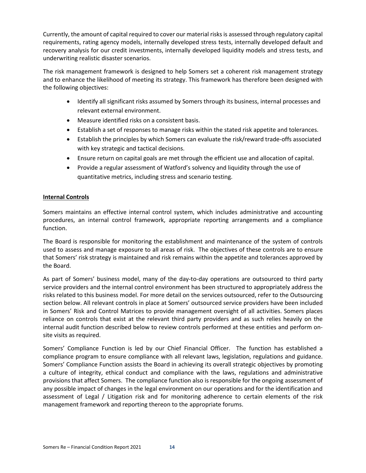Currently, the amount of capital required to cover our material risks is assessed through regulatory capital requirements, rating agency models, internally developed stress tests, internally developed default and recovery analysis for our credit investments, internally developed liquidity models and stress tests, and underwriting realistic disaster scenarios.

The risk management framework is designed to help Somers set a coherent risk management strategy and to enhance the likelihood of meeting its strategy. This framework has therefore been designed with the following objectives:

- Identify all significant risks assumed by Somers through its business, internal processes and relevant external environment.
- Measure identified risks on a consistent basis.
- Establish a set of responses to manage risks within the stated risk appetite and tolerances.
- Establish the principles by which Somers can evaluate the risk/reward trade-offs associated with key strategic and tactical decisions.
- Ensure return on capital goals are met through the efficient use and allocation of capital.
- Provide a regular assessment of Watford's solvency and liquidity through the use of quantitative metrics, including stress and scenario testing.

# <span id="page-16-0"></span>**Internal Controls**

Somers maintains an effective internal control system, which includes administrative and accounting procedures, an internal control framework, appropriate reporting arrangements and a compliance function.

The Board is responsible for monitoring the establishment and maintenance of the system of controls used to assess and manage exposure to all areas of risk. The objectives of these controls are to ensure that Somers' risk strategy is maintained and risk remains within the appetite and tolerances approved by the Board.

As part of Somers' business model, many of the day-to-day operations are outsourced to third party service providers and the internal control environment has been structured to appropriately address the risks related to this business model. For more detail on the services outsourced, refer to the Outsourcing section below. All relevant controls in place at Somers' outsourced service providers have been included in Somers' Risk and Control Matrices to provide management oversight of all activities. Somers places reliance on controls that exist at the relevant third party providers and as such relies heavily on the internal audit function described below to review controls performed at these entities and perform onsite visits as required.

Somers' Compliance Function is led by our Chief Financial Officer. The function has established a compliance program to ensure compliance with all relevant laws, legislation, regulations and guidance. Somers' Compliance Function assists the Board in achieving its overall strategic objectives by promoting a culture of integrity, ethical conduct and compliance with the laws, regulations and administrative provisions that affect Somers. The compliance function also is responsible for the ongoing assessment of any possible impact of changes in the legal environment on our operations and for the identification and assessment of Legal / Litigation risk and for monitoring adherence to certain elements of the risk management framework and reporting thereon to the appropriate forums.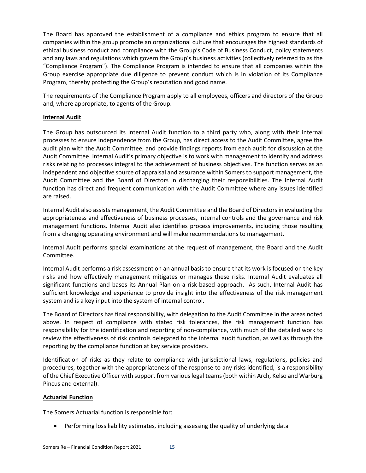The Board has approved the establishment of a compliance and ethics program to ensure that all companies within the group promote an organizational culture that encourages the highest standards of ethical business conduct and compliance with the Group's Code of Business Conduct, policy statements and any laws and regulations which govern the Group's business activities (collectively referred to as the "Compliance Program"). The Compliance Program is intended to ensure that all companies within the Group exercise appropriate due diligence to prevent conduct which is in violation of its Compliance Program, thereby protecting the Group's reputation and good name.

The requirements of the Compliance Program apply to all employees, officers and directors of the Group and, where appropriate, to agents of the Group.

# <span id="page-17-0"></span>**Internal Audit**

The Group has outsourced its Internal Audit function to a third party who, along with their internal processes to ensure independence from the Group, has direct access to the Audit Committee, agree the audit plan with the Audit Committee, and provide findings reports from each audit for discussion at the Audit Committee. Internal Audit's primary objective is to work with management to identify and address risks relating to processes integral to the achievement of business objectives. The function serves as an independent and objective source of appraisal and assurance within Somers to support management, the Audit Committee and the Board of Directors in discharging their responsibilities. The Internal Audit function has direct and frequent communication with the Audit Committee where any issues identified are raised.

Internal Audit also assists management, the Audit Committee and the Board of Directors in evaluating the appropriateness and effectiveness of business processes, internal controls and the governance and risk management functions. Internal Audit also identifies process improvements, including those resulting from a changing operating environment and will make recommendations to management.

Internal Audit performs special examinations at the request of management, the Board and the Audit Committee.

Internal Audit performs a risk assessment on an annual basis to ensure that its work is focused on the key risks and how effectively management mitigates or manages these risks. Internal Audit evaluates all significant functions and bases its Annual Plan on a risk-based approach. As such, Internal Audit has sufficient knowledge and experience to provide insight into the effectiveness of the risk management system and is a key input into the system of internal control.

The Board of Directors has final responsibility, with delegation to the Audit Committee in the areas noted above. In respect of compliance with stated risk tolerances, the risk management function has responsibility for the identification and reporting of non-compliance, with much of the detailed work to review the effectiveness of risk controls delegated to the internal audit function, as well as through the reporting by the compliance function at key service providers.

Identification of risks as they relate to compliance with jurisdictional laws, regulations, policies and procedures, together with the appropriateness of the response to any risks identified, is a responsibility of the Chief Executive Officer with support from various legal teams (both within Arch, Kelso and Warburg Pincus and external).

# <span id="page-17-1"></span>**Actuarial Function**

The Somers Actuarial function is responsible for:

• Performing loss liability estimates, including assessing the quality of underlying data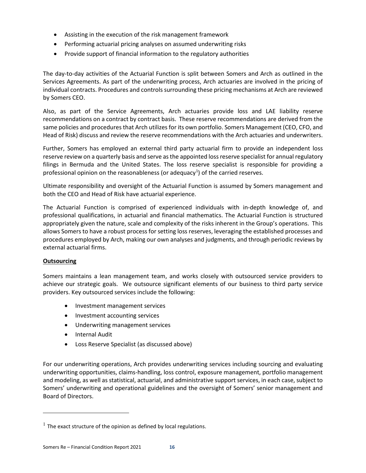- Assisting in the execution of the risk management framework
- Performing actuarial pricing analyses on assumed underwriting risks
- Provide support of financial information to the regulatory authorities

The day-to-day activities of the Actuarial Function is split between Somers and Arch as outlined in the Services Agreements. As part of the underwriting process, Arch actuaries are involved in the pricing of individual contracts. Procedures and controls surrounding these pricing mechanisms at Arch are reviewed by Somers CEO.

Also, as part of the Service Agreements, Arch actuaries provide loss and LAE liability reserve recommendations on a contract by contract basis. These reserve recommendations are derived from the same policies and procedures that Arch utilizes for its own portfolio. Somers Management (CEO, CFO, and Head of Risk) discuss and review the reserve recommendations with the Arch actuaries and underwriters.

Further, Somers has employed an external third party actuarial firm to provide an independent loss reserve review on a quarterly basis and serve as the appointed loss reserve specialist for annual regulatory filings in Bermuda and the United States. The loss reserve specialist is responsible for providing a professional opinion on the reasonableness (or adequacy<sup>[1](#page-18-1)</sup>) of the carried reserves.

Ultimate responsibility and oversight of the Actuarial Function is assumed by Somers management and both the CEO and Head of Risk have actuarial experience.

The Actuarial Function is comprised of experienced individuals with in-depth knowledge of, and professional qualifications, in actuarial and financial mathematics. The Actuarial Function is structured appropriately given the nature, scale and complexity of the risks inherent in the Group's operations. This allows Somers to have a robust process for setting loss reserves, leveraging the established processes and procedures employed by Arch, making our own analyses and judgments, and through periodic reviews by external actuarial firms.

# <span id="page-18-0"></span>**Outsourcing**

Somers maintains a lean management team, and works closely with outsourced service providers to achieve our strategic goals. We outsource significant elements of our business to third party service providers. Key outsourced services include the following:

- Investment management services
- Investment accounting services
- Underwriting management services
- Internal Audit
- Loss Reserve Specialist (as discussed above)

For our underwriting operations, Arch provides underwriting services including sourcing and evaluating underwriting opportunities, claims-handling, loss control, exposure management, portfolio management and modeling, as well as statistical, actuarial, and administrative support services, in each case, subject to Somers' underwriting and operational guidelines and the oversight of Somers' senior management and Board of Directors.

<span id="page-18-1"></span> $1$  The exact structure of the opinion as defined by local regulations.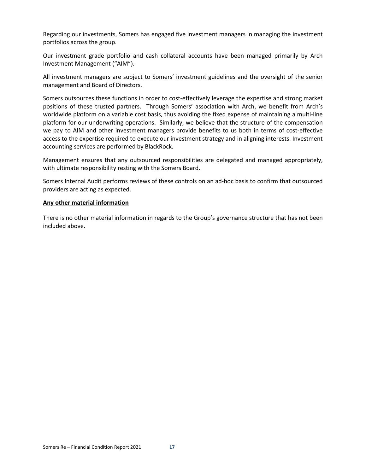Regarding our investments, Somers has engaged five investment managers in managing the investment portfolios across the group.

Our investment grade portfolio and cash collateral accounts have been managed primarily by Arch Investment Management ("AIM").

All investment managers are subject to Somers' investment guidelines and the oversight of the senior management and Board of Directors.

Somers outsources these functions in order to cost-effectively leverage the expertise and strong market positions of these trusted partners. Through Somers' association with Arch, we benefit from Arch's worldwide platform on a variable cost basis, thus avoiding the fixed expense of maintaining a multi-line platform for our underwriting operations. Similarly, we believe that the structure of the compensation we pay to AIM and other investment managers provide benefits to us both in terms of cost-effective access to the expertise required to execute our investment strategy and in aligning interests. Investment accounting services are performed by BlackRock.

Management ensures that any outsourced responsibilities are delegated and managed appropriately, with ultimate responsibility resting with the Somers Board.

Somers Internal Audit performs reviews of these controls on an ad-hoc basis to confirm that outsourced providers are acting as expected.

#### <span id="page-19-0"></span>**Any other material information**

There is no other material information in regards to the Group's governance structure that has not been included above.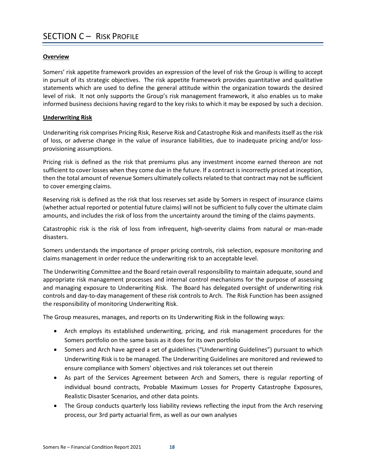# <span id="page-20-1"></span><span id="page-20-0"></span>**Overview**

Somers' risk appetite framework provides an expression of the level of risk the Group is willing to accept in pursuit of its strategic objectives. The risk appetite framework provides quantitative and qualitative statements which are used to define the general attitude within the organization towards the desired level of risk. It not only supports the Group's risk management framework, it also enables us to make informed business decisions having regard to the key risks to which it may be exposed by such a decision.

# <span id="page-20-2"></span>**Underwriting Risk**

Underwriting risk comprises Pricing Risk, Reserve Risk and Catastrophe Risk and manifests itself as the risk of loss, or adverse change in the value of insurance liabilities, due to inadequate pricing and/or lossprovisioning assumptions.

Pricing risk is defined as the risk that premiums plus any investment income earned thereon are not sufficient to cover losses when they come due in the future. If a contract is incorrectly priced at inception, then the total amount of revenue Somers ultimately collects related to that contract may not be sufficient to cover emerging claims.

Reserving risk is defined as the risk that loss reserves set aside by Somers in respect of insurance claims (whether actual reported or potential future claims) will not be sufficient to fully cover the ultimate claim amounts, and includes the risk of loss from the uncertainty around the timing of the claims payments.

Catastrophic risk is the risk of loss from infrequent, high-severity claims from natural or man-made disasters.

Somers understands the importance of proper pricing controls, risk selection, exposure monitoring and claims management in order reduce the underwriting risk to an acceptable level.

The Underwriting Committee and the Board retain overall responsibility to maintain adequate, sound and appropriate risk management processes and internal control mechanisms for the purpose of assessing and managing exposure to Underwriting Risk. The Board has delegated oversight of underwriting risk controls and day-to-day management of these risk controls to Arch. The Risk Function has been assigned the responsibility of monitoring Underwriting Risk.

The Group measures, manages, and reports on its Underwriting Risk in the following ways:

- Arch employs its established underwriting, pricing, and risk management procedures for the Somers portfolio on the same basis as it does for its own portfolio
- Somers and Arch have agreed a set of guidelines ("Underwriting Guidelines") pursuant to which Underwriting Risk is to be managed. The Underwriting Guidelines are monitored and reviewed to ensure compliance with Somers' objectives and risk tolerances set out therein
- As part of the Services Agreement between Arch and Somers, there is regular reporting of individual bound contracts, Probable Maximum Losses for Property Catastrophe Exposures, Realistic Disaster Scenarios, and other data points.
- The Group conducts quarterly loss liability reviews reflecting the input from the Arch reserving process, our 3rd party actuarial firm, as well as our own analyses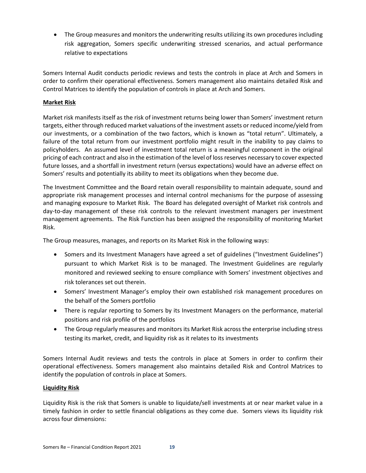• The Group measures and monitors the underwriting results utilizing its own procedures including risk aggregation, Somers specific underwriting stressed scenarios, and actual performance relative to expectations

Somers Internal Audit conducts periodic reviews and tests the controls in place at Arch and Somers in order to confirm their operational effectiveness. Somers management also maintains detailed Risk and Control Matrices to identify the population of controls in place at Arch and Somers.

# <span id="page-21-0"></span>**Market Risk**

Market risk manifests itself as the risk of investment returns being lower than Somers' investment return targets, either through reduced market valuations of the investment assets or reduced income/yield from our investments, or a combination of the two factors, which is known as "total return". Ultimately, a failure of the total return from our investment portfolio might result in the inability to pay claims to policyholders. An assumed level of investment total return is a meaningful component in the original pricing of each contract and also in the estimation of the level of loss reserves necessary to cover expected future losses, and a shortfall in investment return (versus expectations) would have an adverse effect on Somers' results and potentially its ability to meet its obligations when they become due.

The Investment Committee and the Board retain overall responsibility to maintain adequate, sound and appropriate risk management processes and internal control mechanisms for the purpose of assessing and managing exposure to Market Risk. The Board has delegated oversight of Market risk controls and day-to-day management of these risk controls to the relevant investment managers per investment management agreements. The Risk Function has been assigned the responsibility of monitoring Market Risk.

The Group measures, manages, and reports on its Market Risk in the following ways:

- Somers and its Investment Managers have agreed a set of guidelines ("Investment Guidelines") pursuant to which Market Risk is to be managed. The Investment Guidelines are regularly monitored and reviewed seeking to ensure compliance with Somers' investment objectives and risk tolerances set out therein.
- Somers' Investment Manager's employ their own established risk management procedures on the behalf of the Somers portfolio
- There is regular reporting to Somers by its Investment Managers on the performance, material positions and risk profile of the portfolios
- The Group regularly measures and monitors its Market Risk across the enterprise including stress testing its market, credit, and liquidity risk as it relates to its investments

Somers Internal Audit reviews and tests the controls in place at Somers in order to confirm their operational effectiveness. Somers management also maintains detailed Risk and Control Matrices to identify the population of controls in place at Somers.

# <span id="page-21-1"></span>**Liquidity Risk**

Liquidity Risk is the risk that Somers is unable to liquidate/sell investments at or near market value in a timely fashion in order to settle financial obligations as they come due. Somers views its liquidity risk across four dimensions: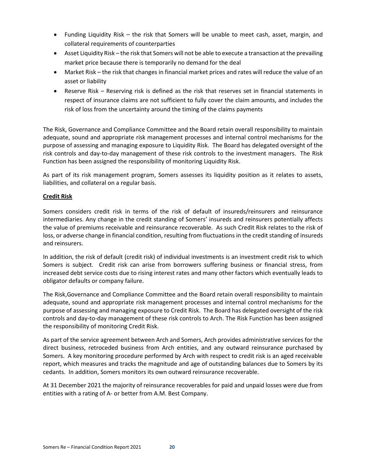- Funding Liquidity Risk the risk that Somers will be unable to meet cash, asset, margin, and collateral requirements of counterparties
- Asset Liquidity Risk the risk that Somers will not be able to execute a transaction at the prevailing market price because there is temporarily no demand for the deal
- Market Risk the risk that changes in financial market prices and rates will reduce the value of an asset or liability
- Reserve Risk Reserving risk is defined as the risk that reserves set in financial statements in respect of insurance claims are not sufficient to fully cover the claim amounts, and includes the risk of loss from the uncertainty around the timing of the claims payments

The Risk, Governance and Compliance Committee and the Board retain overall responsibility to maintain adequate, sound and appropriate risk management processes and internal control mechanisms for the purpose of assessing and managing exposure to Liquidity Risk. The Board has delegated oversight of the risk controls and day-to-day management of these risk controls to the investment managers. The Risk Function has been assigned the responsibility of monitoring Liquidity Risk.

As part of its risk management program, Somers assesses its liquidity position as it relates to assets, liabilities, and collateral on a regular basis.

# <span id="page-22-0"></span>**Credit Risk**

Somers considers credit risk in terms of the risk of default of insureds/reinsurers and reinsurance intermediaries. Any change in the credit standing of Somers' insureds and reinsurers potentially affects the value of premiums receivable and reinsurance recoverable. As such Credit Risk relates to the risk of loss, or adverse change in financial condition, resulting from fluctuations in the credit standing of insureds and reinsurers.

In addition, the risk of default (credit risk) of individual investments is an investment credit risk to which Somers is subject. Credit risk can arise from borrowers suffering business or financial stress, from increased debt service costs due to rising interest rates and many other factors which eventually leads to obligator defaults or company failure.

The Risk,Governance and Compliance Committee and the Board retain overall responsibility to maintain adequate, sound and appropriate risk management processes and internal control mechanisms for the purpose of assessing and managing exposure to Credit Risk. The Board has delegated oversight of the risk controls and day-to-day management of these risk controls to Arch. The Risk Function has been assigned the responsibility of monitoring Credit Risk.

As part of the service agreement between Arch and Somers, Arch provides administrative services for the direct business, retroceded business from Arch entities, and any outward reinsurance purchased by Somers. A key monitoring procedure performed by Arch with respect to credit risk is an aged receivable report, which measures and tracks the magnitude and age of outstanding balances due to Somers by its cedants. In addition, Somers monitors its own outward reinsurance recoverable.

At 31 December 2021 the majority of reinsurance recoverables for paid and unpaid losses were due from entities with a rating of A- or better from A.M. Best Company.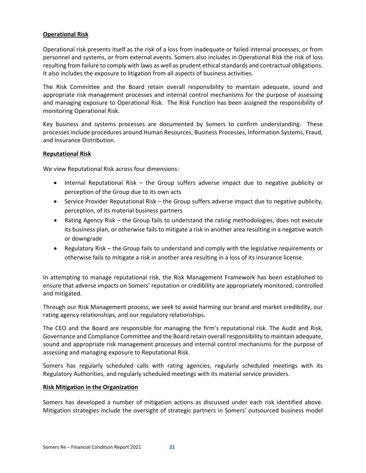# <span id="page-23-0"></span>**Operational Risk**

Operational risk presents itself as the risk of a loss from inadequate or failed internal processes, or from personnel and systems, or from external events. Somers also includes in Operational Risk the risk of loss resulting from failure to comply with laws as well as prudent ethical standards and contractual obligations. It also includes the exposure to litigation from all aspects of business activities.

The Risk Committee and the Board retain overall responsibility to maintain adequate, sound and appropriate risk management processes and internal control mechanisms for the purpose of assessing and managing exposure to Operational Risk. The Risk Function has been assigned the responsibility of monitoring Operational Risk.

Key business and systems processes are documented by Somers to confirm understanding. These processes include procedures around Human Resources, Business Processes, Information Systems, Fraud, and Insurance Distribution.

#### <span id="page-23-1"></span>**Reputational Risk**

We view Reputational Risk across four dimensions:

- Internal Reputational Risk the Group suffers adverse impact due to negative publicity or perception of the Group due to its own acts
- Service Provider Reputational Risk the Group suffers adverse impact due to negative publicity, perception, of its material business partners
- Rating Agency Risk the Group fails to understand the rating methodologies, does not execute its business plan, or otherwise fails to mitigate a risk in another area resulting in a negative watch or downgrade
- Regulatory Risk the Group fails to understand and comply with the legislative requirements or otherwise fails to mitigate a risk in another area resulting in a loss of its insurance license.

In attempting to manage reputational risk, the Risk Management Framework has been established to ensure that adverse impacts on Somers' reputation or credibility are appropriately monitored, controlled and mitigated.

Through our Risk Management process, we seek to avoid harming our brand and market credibility, our rating agency relationships, and our regulatory relationships.

The CEO and the Board are responsible for managing the firm's reputational risk. The Audit and Risk, Governance and Compliance Committee and the Board retain overall responsibility to maintain adequate, sound and appropriate risk management processes and internal control mechanisms for the purpose of assessing and managing exposure to Reputational Risk.

Somers has regularly scheduled calls with rating agencies, regularly scheduled meetings with its Regulatory Authorities, and regularly scheduled meetings with its material service providers.

# <span id="page-23-2"></span>**Risk Mitigation in the Organization**

Somers has developed a number of mitigation actions as discussed under each risk identified above. Mitigation strategies include the oversight of strategic partners in Somers' outsourced business model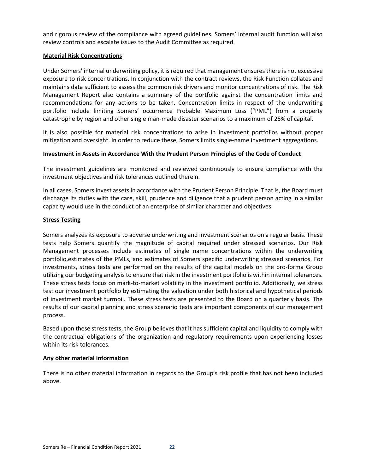and rigorous review of the compliance with agreed guidelines. Somers' internal audit function will also review controls and escalate issues to the Audit Committee as required.

#### <span id="page-24-0"></span>**Material Risk Concentrations**

Under Somers' internal underwriting policy, it is required that management ensures there is not excessive exposure to risk concentrations. In conjunction with the contract reviews, the Risk Function collates and maintains data sufficient to assess the common risk drivers and monitor concentrations of risk. The Risk Management Report also contains a summary of the portfolio against the concentration limits and recommendations for any actions to be taken. Concentration limits in respect of the underwriting portfolio include limiting Somers' occurrence Probable Maximum Loss ("PML") from a property catastrophe by region and other single man-made disaster scenarios to a maximum of 25% of capital.

It is also possible for material risk concentrations to arise in investment portfolios without proper mitigation and oversight. In order to reduce these, Somers limits single-name investment aggregations.

#### <span id="page-24-1"></span>**Investment in Assets in Accordance With the Prudent Person Principles of the Code of Conduct**

The investment guidelines are monitored and reviewed continuously to ensure compliance with the investment objectives and risk tolerances outlined therein.

In all cases, Somers invest assets in accordance with the Prudent Person Principle. That is, the Board must discharge its duties with the care, skill, prudence and diligence that a prudent person acting in a similar capacity would use in the conduct of an enterprise of similar character and objectives.

#### <span id="page-24-2"></span>**Stress Testing**

Somers analyzes its exposure to adverse underwriting and investment scenarios on a regular basis. These tests help Somers quantify the magnitude of capital required under stressed scenarios. Our Risk Management processes include estimates of single name concentrations within the underwriting portfolio,estimates of the PMLs, and estimates of Somers specific underwriting stressed scenarios. For investments, stress tests are performed on the results of the capital models on the pro-forma Group utilizing our budgeting analysis to ensure that risk in the investment portfolio is within internal tolerances. These stress tests focus on mark-to-market volatility in the investment portfolio. Additionally, we stress test our investment portfolio by estimating the valuation under both historical and hypothetical periods of investment market turmoil. These stress tests are presented to the Board on a quarterly basis. The results of our capital planning and stress scenario tests are important components of our management process.

Based upon these stress tests, the Group believes that it has sufficient capital and liquidity to comply with the contractual obligations of the organization and regulatory requirements upon experiencing losses within its risk tolerances.

# <span id="page-24-3"></span>**Any other material information**

There is no other material information in regards to the Group's risk profile that has not been included above.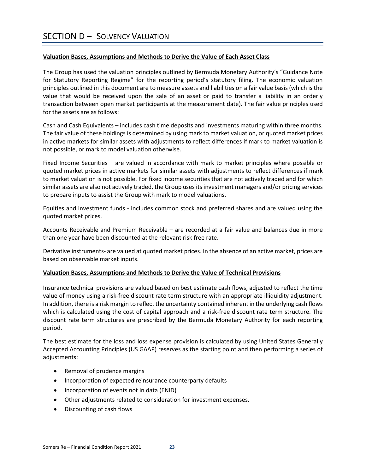# <span id="page-25-1"></span><span id="page-25-0"></span>**Valuation Bases, Assumptions and Methods to Derive the Value of Each Asset Class**

The Group has used the valuation principles outlined by Bermuda Monetary Authority's "Guidance Note for Statutory Reporting Regime" for the reporting period's statutory filing. The economic valuation principles outlined in this document are to measure assets and liabilities on a fair value basis (which is the value that would be received upon the sale of an asset or paid to transfer a liability in an orderly transaction between open market participants at the measurement date). The fair value principles used for the assets are as follows:

Cash and Cash Equivalents – includes cash time deposits and investments maturing within three months. The fair value of these holdings is determined by using mark to market valuation, or quoted market prices in active markets for similar assets with adjustments to reflect differences if mark to market valuation is not possible, or mark to model valuation otherwise.

Fixed Income Securities – are valued in accordance with mark to market principles where possible or quoted market prices in active markets for similar assets with adjustments to reflect differences if mark to market valuation is not possible. For fixed income securities that are not actively traded and for which similar assets are also not actively traded, the Group uses its investment managers and/or pricing services to prepare inputs to assist the Group with mark to model valuations.

Equities and investment funds - includes common stock and preferred shares and are valued using the quoted market prices.

Accounts Receivable and Premium Receivable – are recorded at a fair value and balances due in more than one year have been discounted at the relevant risk free rate.

Derivative instruments- are valued at quoted market prices. In the absence of an active market, prices are based on observable market inputs.

#### <span id="page-25-2"></span>**Valuation Bases, Assumptions and Methods to Derive the Value of Technical Provisions**

Insurance technical provisions are valued based on best estimate cash flows, adjusted to reflect the time value of money using a risk-free discount rate term structure with an appropriate illiquidity adjustment. In addition, there is a risk margin to reflect the uncertainty contained inherent in the underlying cash flows which is calculated using the cost of capital approach and a risk-free discount rate term structure. The discount rate term structures are prescribed by the Bermuda Monetary Authority for each reporting period.

The best estimate for the loss and loss expense provision is calculated by using United States Generally Accepted Accounting Principles (US GAAP) reserves as the starting point and then performing a series of adjustments:

- Removal of prudence margins
- Incorporation of expected reinsurance counterparty defaults
- Incorporation of events not in data (ENID)
- Other adjustments related to consideration for investment expenses.
- Discounting of cash flows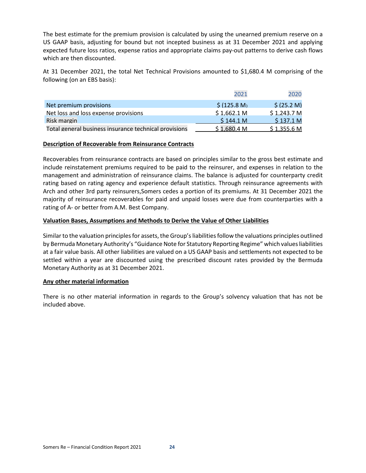The best estimate for the premium provision is calculated by using the unearned premium reserve on a US GAAP basis, adjusting for bound but not incepted business as at 31 December 2021 and applying expected future loss ratios, expense ratios and appropriate claims pay-out patterns to derive cash flows which are then discounted.

At 31 December 2021, the total Net Technical Provisions amounted to \$1,680.4 M comprising of the following (on an EBS basis):

|                                                       | 2021         | 2020        |
|-------------------------------------------------------|--------------|-------------|
| Net premium provisions                                | \$ (125.8 M) | 5(25.2 M)   |
| Net loss and loss expense provisions                  | \$1.662.1 M  | \$1,243.7 M |
| <b>Risk margin</b>                                    | \$144.1 M    | \$137.1 M   |
| Total general business insurance technical provisions | \$1.680.4 M  | \$1.355.6 M |

#### <span id="page-26-0"></span>**Description of Recoverable from Reinsurance Contracts**

Recoverables from reinsurance contracts are based on principles similar to the gross best estimate and include reinstatement premiums required to be paid to the reinsurer, and expenses in relation to the management and administration of reinsurance claims. The balance is adjusted for counterparty credit rating based on rating agency and experience default statistics. Through reinsurance agreements with Arch and other 3rd party reinsurers,Somers cedes a portion of its premiums. At 31 December 2021 the majority of reinsurance recoverables for paid and unpaid losses were due from counterparties with a rating of A- or better from A.M. Best Company.

# <span id="page-26-1"></span>**Valuation Bases, Assumptions and Methods to Derive the Value of Other Liabilities**

Similar to the valuation principles for assets, the Group's liabilities follow the valuations principles outlined by Bermuda Monetary Authority's "Guidance Note for Statutory Reporting Regime" which values liabilities at a fair value basis. All other liabilities are valued on a US GAAP basis and settlements not expected to be settled within a year are discounted using the prescribed discount rates provided by the Bermuda Monetary Authority as at 31 December 2021.

#### <span id="page-26-2"></span>**Any other material information**

There is no other material information in regards to the Group's solvency valuation that has not be included above.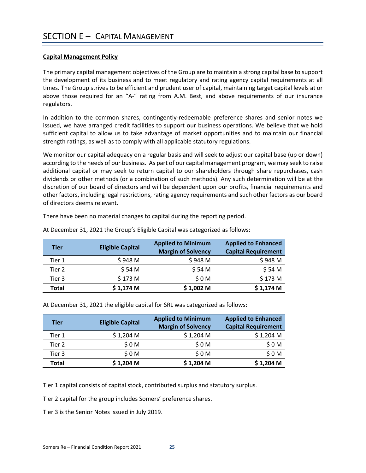# <span id="page-27-1"></span><span id="page-27-0"></span>**Capital Management Policy**

The primary capital management objectives of the Group are to maintain a strong capital base to support the development of its business and to meet regulatory and rating agency capital requirements at all times. The Group strives to be efficient and prudent user of capital, maintaining target capital levels at or above those required for an "A-" rating from A.M. Best, and above requirements of our insurance regulators.

In addition to the common shares, contingently-redeemable preference shares and senior notes we issued, we have arranged credit facilities to support our business operations. We believe that we hold sufficient capital to allow us to take advantage of market opportunities and to maintain our financial strength ratings, as well as to comply with all applicable statutory regulations.

We monitor our capital adequacy on a regular basis and will seek to adjust our capital base (up or down) according to the needs of our business. As part of our capital management program, we may seek to raise additional capital or may seek to return capital to our shareholders through share repurchases, cash dividends or other methods (or a combination of such methods). Any such determination will be at the discretion of our board of directors and will be dependent upon our profits, financial requirements and other factors, including legal restrictions, rating agency requirements and such other factors as our board of directors deems relevant.

There have been no material changes to capital during the reporting period.

| <b>Tier</b>  | <b>Eligible Capital</b> | <b>Applied to Minimum</b><br><b>Margin of Solvency</b> | <b>Applied to Enhanced</b><br><b>Capital Requirement</b> |
|--------------|-------------------------|--------------------------------------------------------|----------------------------------------------------------|
| Tier 1       | \$948 M                 | \$948 M                                                | \$948 M                                                  |
| Tier 2       | \$54 M                  | \$54 M                                                 | \$54 M                                                   |
| Tier 3       | \$173 M                 | \$0M                                                   | \$173 M                                                  |
| <b>Total</b> | $$1,174$ M              | $$1,002$ M                                             | $$1,174$ M                                               |

At December 31, 2021 the Group's Eligible Capital was categorized as follows:

At December 31, 2021 the eligible capital for SRL was categorized as follows:

| <b>Tier</b>  | <b>Eligible Capital</b> | <b>Applied to Minimum</b><br><b>Margin of Solvency</b> | <b>Applied to Enhanced</b><br><b>Capital Requirement</b> |
|--------------|-------------------------|--------------------------------------------------------|----------------------------------------------------------|
| Tier 1       | $$1,204$ M              | $$1,204$ M                                             | $$1,204$ M                                               |
| Tier 2       | \$0M                    | \$0M                                                   | \$0M                                                     |
| Tier 3       | \$0M                    | \$0M                                                   | \$0M                                                     |
| <b>Total</b> | $$1,204$ M              | $$1,204$ M                                             | $$1,204$ M                                               |

Tier 1 capital consists of capital stock, contributed surplus and statutory surplus.

Tier 2 capital for the group includes Somers' preference shares.

Tier 3 is the Senior Notes issued in July 2019.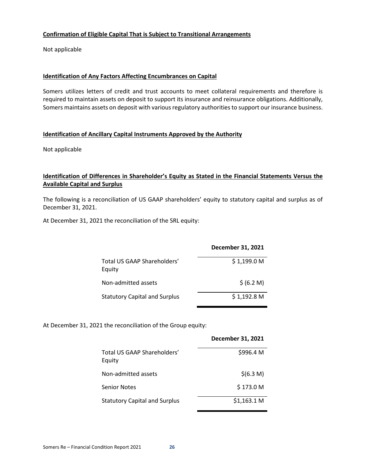# <span id="page-28-0"></span>**Confirmation of Eligible Capital That is Subject to Transitional Arrangements**

Not applicable

#### <span id="page-28-1"></span>**Identification of Any Factors Affecting Encumbrances on Capital**

Somers utilizes letters of credit and trust accounts to meet collateral requirements and therefore is required to maintain assets on deposit to support its insurance and reinsurance obligations. Additionally, Somers maintains assets on deposit with various regulatory authorities to support our insurance business.

# <span id="page-28-2"></span>**Identification of Ancillary Capital Instruments Approved by the Authority**

Not applicable

# <span id="page-28-3"></span>**Identification of Differences in Shareholder's Equity as Stated in the Financial Statements Versus the Available Capital and Surplus**

The following is a reconciliation of US GAAP shareholders' equity to statutory capital and surplus as of December 31, 2021.

At December 31, 2021 the reconciliation of the SRL equity:

|                                       | December 31, 2021 |
|---------------------------------------|-------------------|
| Total US GAAP Shareholders'<br>Equity | \$1,199.0 M       |
| Non-admitted assets                   | \$ (6.2 M)        |
| <b>Statutory Capital and Surplus</b>  | $$1,192.8$ M      |

At December 31, 2021 the reconciliation of the Group equity:

|                                       | December 31, 2021 |
|---------------------------------------|-------------------|
| Total US GAAP Shareholders'<br>Equity | \$996.4 M         |
| Non-admitted assets                   | \$(6.3 M)         |
| <b>Senior Notes</b>                   | \$173.0 M         |
| <b>Statutory Capital and Surplus</b>  | \$1,163.1 M       |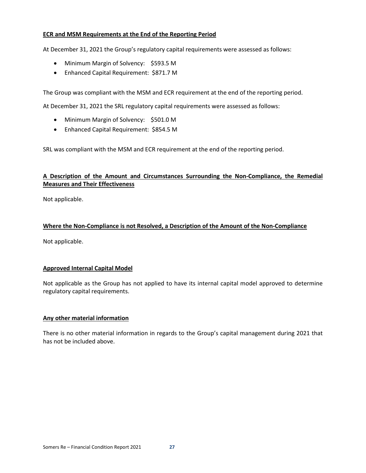## <span id="page-29-0"></span>**ECR and MSM Requirements at the End of the Reporting Period**

At December 31, 2021 the Group's regulatory capital requirements were assessed as follows:

- Minimum Margin of Solvency: \$593.5 M
- Enhanced Capital Requirement: \$871.7 M

The Group was compliant with the MSM and ECR requirement at the end of the reporting period.

At December 31, 2021 the SRL regulatory capital requirements were assessed as follows:

- Minimum Margin of Solvency: \$501.0 M
- Enhanced Capital Requirement: \$854.5 M

SRL was compliant with the MSM and ECR requirement at the end of the reporting period.

# <span id="page-29-1"></span>**A Description of the Amount and Circumstances Surrounding the Non-Compliance, the Remedial Measures and Their Effectiveness**

Not applicable.

# <span id="page-29-2"></span>**Where the Non-Compliance is not Resolved, a Description of the Amount of the Non-Compliance**

Not applicable.

# <span id="page-29-3"></span>**Approved Internal Capital Model**

Not applicable as the Group has not applied to have its internal capital model approved to determine regulatory capital requirements.

#### <span id="page-29-4"></span>**Any other material information**

There is no other material information in regards to the Group's capital management during 2021 that has not be included above.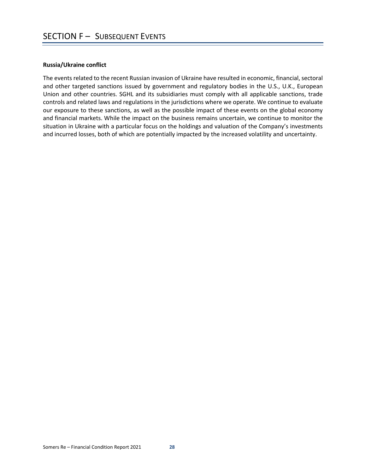#### <span id="page-30-0"></span>**Russia/Ukraine conflict**

The events related to the recent Russian invasion of Ukraine have resulted in economic, financial, sectoral and other targeted sanctions issued by government and regulatory bodies in the U.S., U.K., European Union and other countries. SGHL and its subsidiaries must comply with all applicable sanctions, trade controls and related laws and regulations in the jurisdictions where we operate. We continue to evaluate our exposure to these sanctions, as well as the possible impact of these events on the global economy and financial markets. While the impact on the business remains uncertain, we continue to monitor the situation in Ukraine with a particular focus on the holdings and valuation of the Company's investments and incurred losses, both of which are potentially impacted by the increased volatility and uncertainty.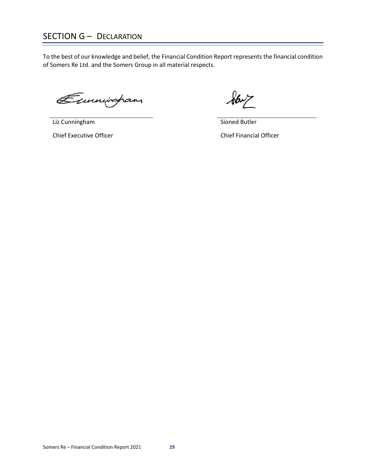# <span id="page-31-0"></span>SECTION G – DECLARATION

To the best of our knowledge and belief, the Financial Condition Report represents the financial condition of Somers Re Ltd. and the Somers Group in all material respects.

Eunningham

Liz Cunningham

Chief Executive Officer

 $\sqrt{6}$ 

Sioned Butler

Chief Financial Officer